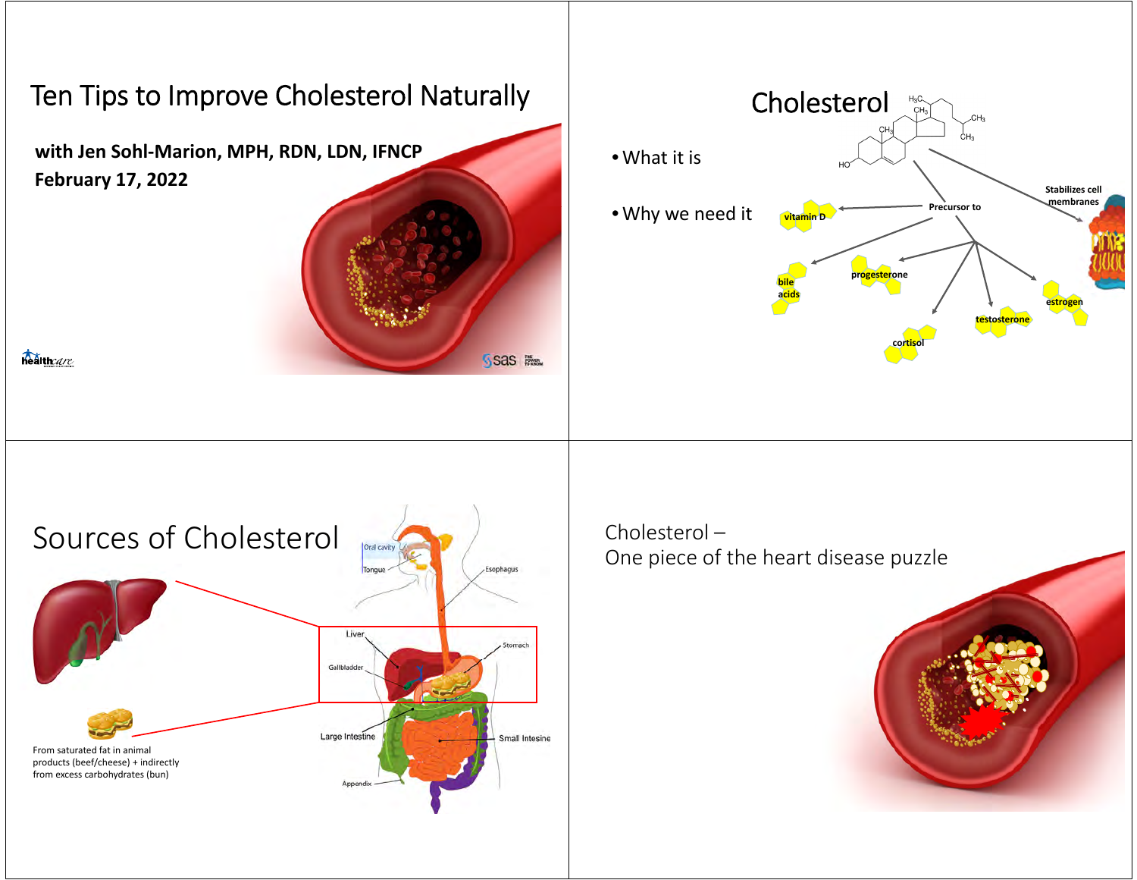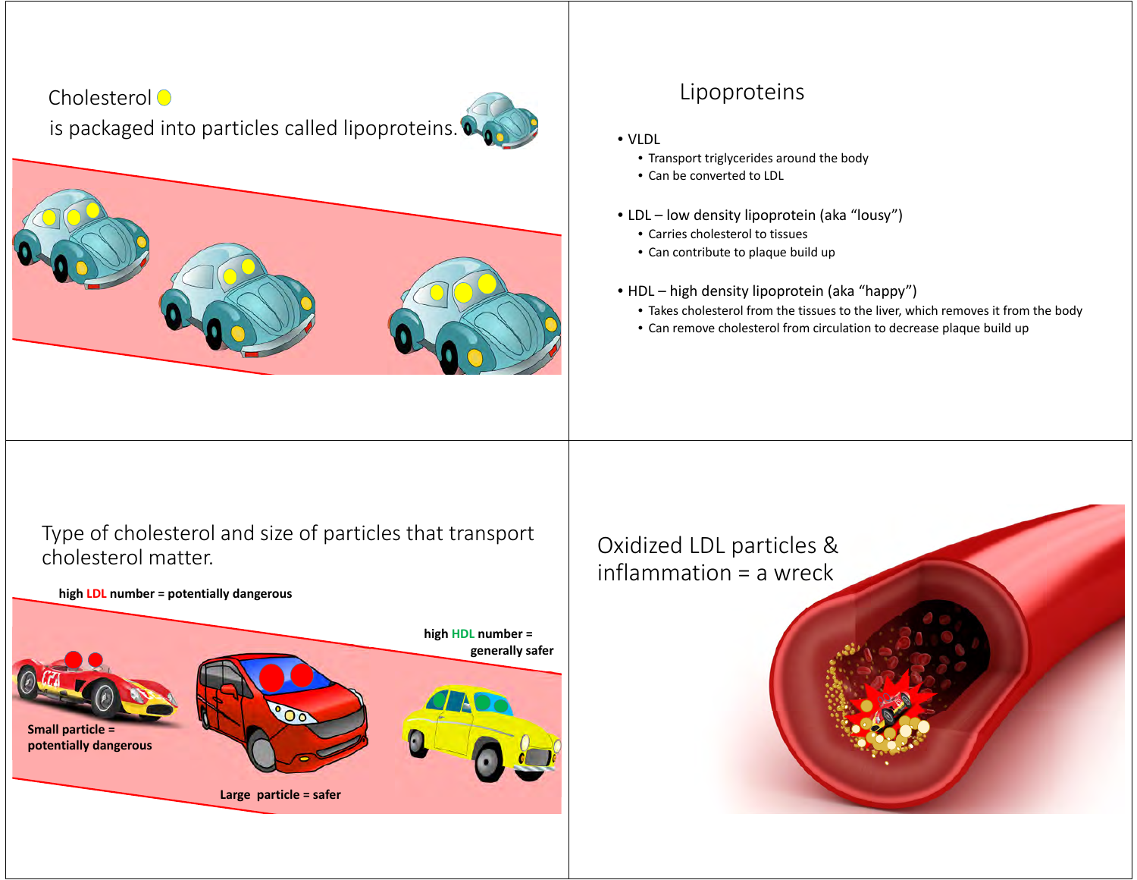# Cholesterol<sup>O</sup> is packaged into particles called lipoproteins.



#### Lipoproteins

- VLDL
	- Transport triglycerides around the body
	- Can be converted to LDL
- LDL low density lipoprotein (aka "lousy")
	- Carries cholesterol to tissues
	- Can contribute to plaque build up
- HDL high density lipoprotein (aka "happy")
	- Takes cholesterol from the tissues to the liver, which removes it from the body
	- Can remove cholesterol from circulation to decrease plaque build up

Type of cholesterol and size of particles that transport cholesterol matter.

**high LDL number <sup>=</sup> potentially dangerous**



Oxidized LDL particles & inflammation <sup>=</sup> <sup>a</sup> wreck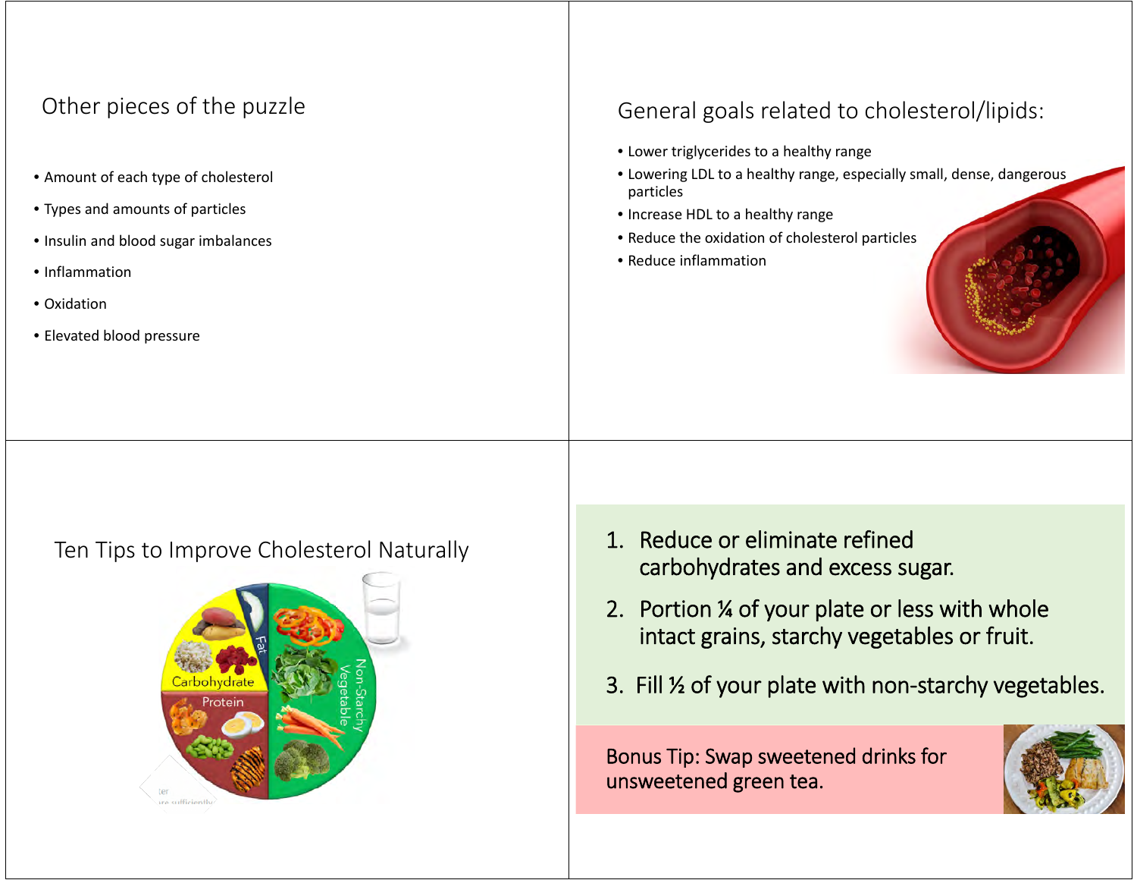# Other pieces of the puzzle

- Amount of each type of cholesterol
- Types and amounts of particles
- Insulin and blood sugar imbalances
- Inflammation
- Oxidation
- Elevated blood pressure

### General goals related to cholesterol/lipids:

- Lower triglycerides to <sup>a</sup> healthy range
- Lowering LDL to <sup>a</sup> healthy range, especially small, dense, dangerous particles
- Increase HDL to <sup>a</sup> healthy range
- Reduce the oxidation of cholesterol particles
- Reduce inflammation

Ten



- n Tips to Improve Cholesterol Naturally  $\begin{array}{|c|c|c|c|}\n\hline\n\text{1. Reduce or eliminate refined} & \text{carbohydrates and excess sugar.} \end{array}$ 
	- 2. Portion ¼ of your plate or less with whole intact grains, starchy vegetables or fruit.
	- 3. Fill ½ of your plate with non‐starchy vegetables.

Bonus Tip: Swap sweetened drinks for unsweetened green tea.

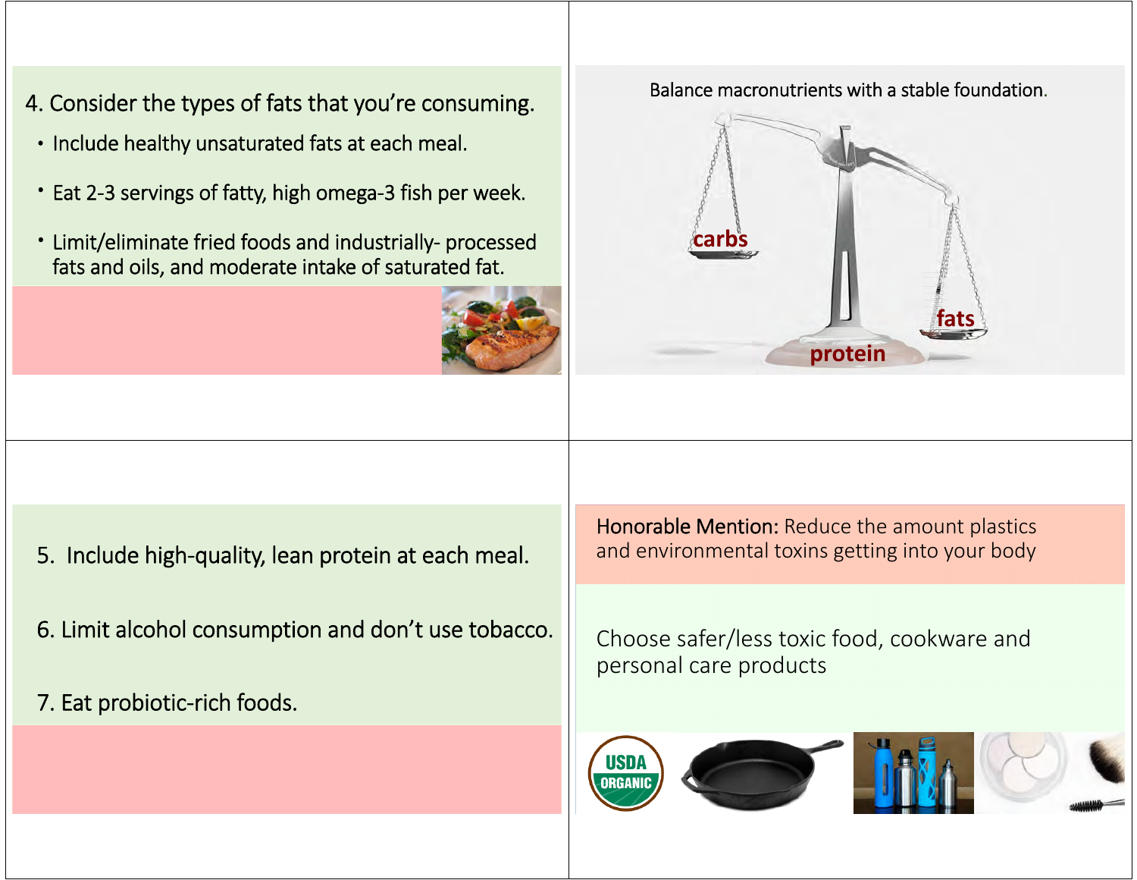- 4. Consider the types of fats that you're consuming. Balance macronutrients with a stable foundation.
- Include healthy unsaturated fats at each meal.
- Eat 2‐3 servings of fatty, high omega‐3 fish per week.
- Limit/eliminate fried foods and industrially‐ processed fats and oils, and moderate intake of saturated fat.





- 5. Include high‐quality, lean protein at each meal.
- 6. Limit alcohol consumption and don't use tobacco.
- 7. Eat probiotic‐rich foods.

Honorable Mention: Reduce the amount plastics and environmental toxins getting into your body

Choose safer/less toxic food, cookware and personal care products